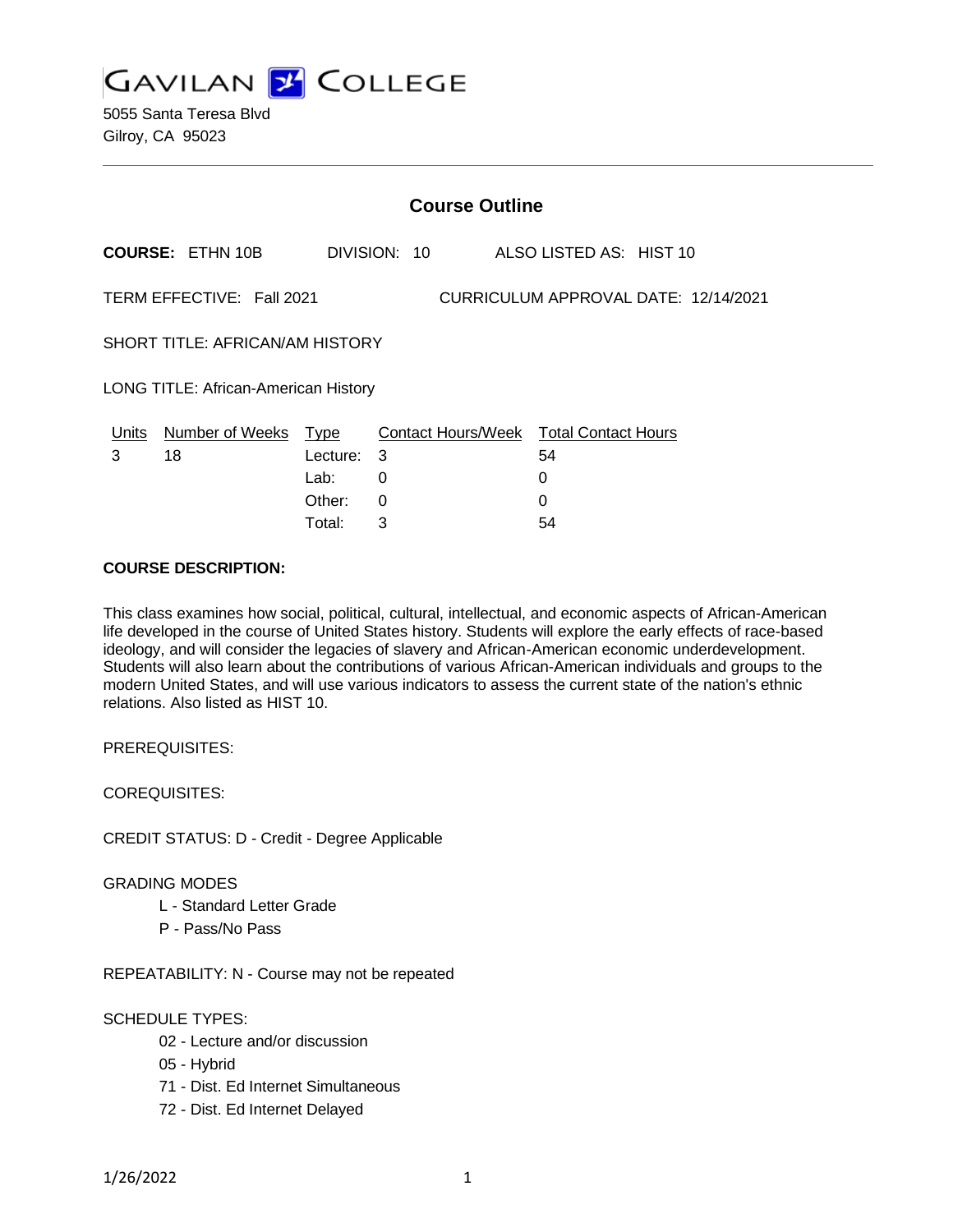

5055 Santa Teresa Blvd Gilroy, CA 95023

|                                                                   | <b>Course Outline</b>      |                    |              |  |                                                   |  |  |
|-------------------------------------------------------------------|----------------------------|--------------------|--------------|--|---------------------------------------------------|--|--|
|                                                                   | <b>COURSE: ETHN 10B</b>    |                    | DIVISION: 10 |  | ALSO LISTED AS: HIST 10                           |  |  |
| TERM EFFECTIVE: Fall 2021<br>CURRICULUM APPROVAL DATE: 12/14/2021 |                            |                    |              |  |                                                   |  |  |
| SHORT TITLE: AFRICAN/AM HISTORY                                   |                            |                    |              |  |                                                   |  |  |
| <b>LONG TITLE: African-American History</b>                       |                            |                    |              |  |                                                   |  |  |
| Units<br>3                                                        | Number of Weeks Type<br>18 | Lecture: 3<br>Lab: | 0            |  | Contact Hours/Week Total Contact Hours<br>54<br>0 |  |  |
|                                                                   |                            | Other:             | 0            |  | 0                                                 |  |  |

Total: 3 54

### **COURSE DESCRIPTION:**

This class examines how social, political, cultural, intellectual, and economic aspects of African-American life developed in the course of United States history. Students will explore the early effects of race-based ideology, and will consider the legacies of slavery and African-American economic underdevelopment. Students will also learn about the contributions of various African-American individuals and groups to the modern United States, and will use various indicators to assess the current state of the nation's ethnic relations. Also listed as HIST 10.

PREREQUISITES:

COREQUISITES:

CREDIT STATUS: D - Credit - Degree Applicable

#### GRADING MODES

- L Standard Letter Grade
- P Pass/No Pass

REPEATABILITY: N - Course may not be repeated

#### SCHEDULE TYPES:

- 02 Lecture and/or discussion
- 05 Hybrid
- 71 Dist. Ed Internet Simultaneous
- 72 Dist. Ed Internet Delayed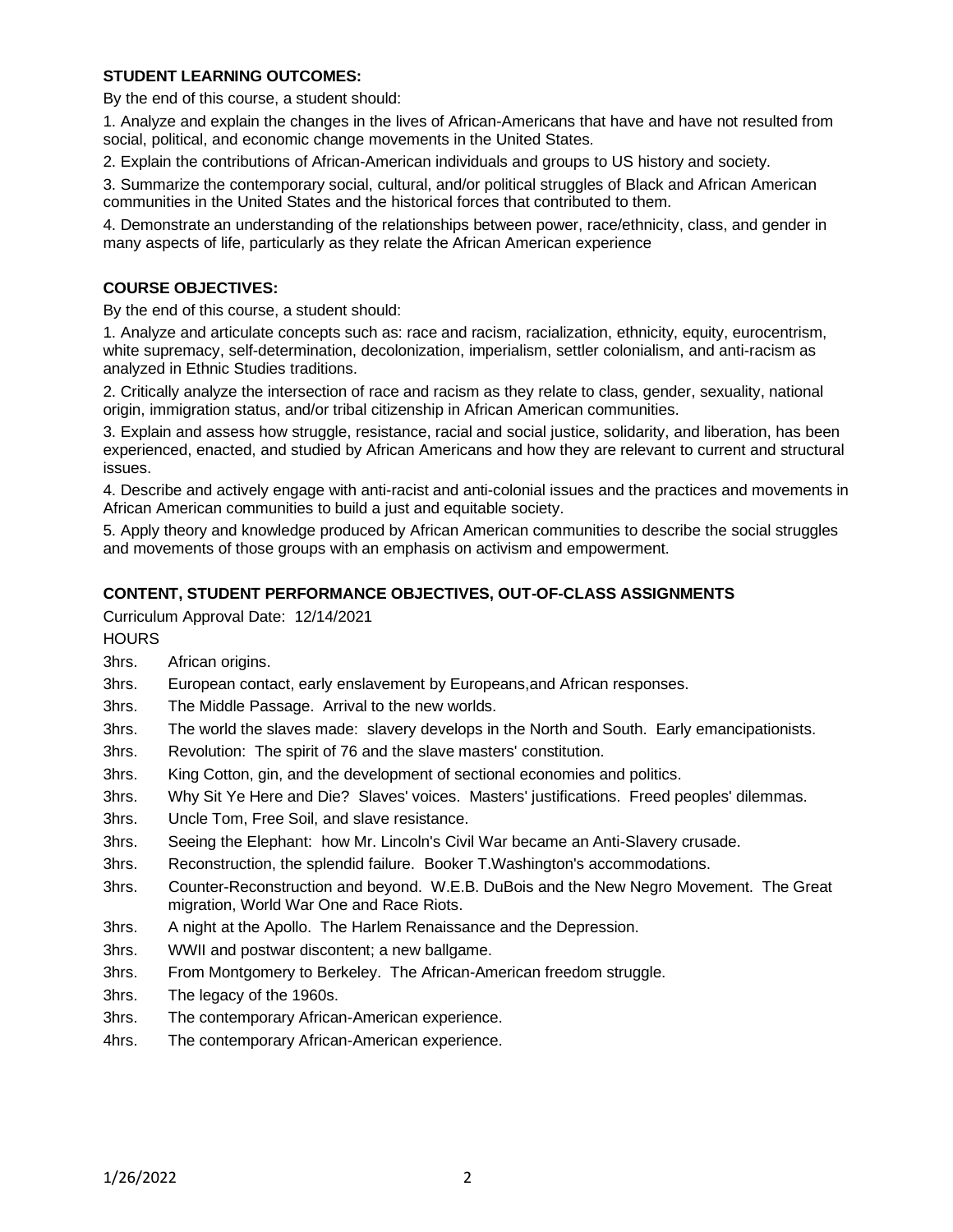# **STUDENT LEARNING OUTCOMES:**

By the end of this course, a student should:

1. Analyze and explain the changes in the lives of African-Americans that have and have not resulted from social, political, and economic change movements in the United States.

2. Explain the contributions of African-American individuals and groups to US history and society.

3. Summarize the contemporary social, cultural, and/or political struggles of Black and African American communities in the United States and the historical forces that contributed to them.

4. Demonstrate an understanding of the relationships between power, race/ethnicity, class, and gender in many aspects of life, particularly as they relate the African American experience

### **COURSE OBJECTIVES:**

By the end of this course, a student should:

1. Analyze and articulate concepts such as: race and racism, racialization, ethnicity, equity, eurocentrism, white supremacy, self-determination, decolonization, imperialism, settler colonialism, and anti-racism as analyzed in Ethnic Studies traditions.

2. Critically analyze the intersection of race and racism as they relate to class, gender, sexuality, national origin, immigration status, and/or tribal citizenship in African American communities.

3. Explain and assess how struggle, resistance, racial and social justice, solidarity, and liberation, has been experienced, enacted, and studied by African Americans and how they are relevant to current and structural issues.

4. Describe and actively engage with anti-racist and anti-colonial issues and the practices and movements in African American communities to build a just and equitable society.

5. Apply theory and knowledge produced by African American communities to describe the social struggles and movements of those groups with an emphasis on activism and empowerment.

## **CONTENT, STUDENT PERFORMANCE OBJECTIVES, OUT-OF-CLASS ASSIGNMENTS**

Curriculum Approval Date: 12/14/2021

**HOURS** 

- 3hrs. African origins.
- 3hrs. European contact, early enslavement by Europeans,and African responses.
- 3hrs. The Middle Passage. Arrival to the new worlds.
- 3hrs. The world the slaves made: slavery develops in the North and South. Early emancipationists.
- 3hrs. Revolution: The spirit of 76 and the slave masters' constitution.
- 3hrs. King Cotton, gin, and the development of sectional economies and politics.
- 3hrs. Why Sit Ye Here and Die? Slaves' voices. Masters' justifications. Freed peoples' dilemmas.
- 3hrs. Uncle Tom, Free Soil, and slave resistance.
- 3hrs. Seeing the Elephant: how Mr. Lincoln's Civil War became an Anti-Slavery crusade.
- 3hrs. Reconstruction, the splendid failure. Booker T.Washington's accommodations.
- 3hrs. Counter-Reconstruction and beyond. W.E.B. DuBois and the New Negro Movement. The Great migration, World War One and Race Riots.
- 3hrs. A night at the Apollo. The Harlem Renaissance and the Depression.
- 3hrs. WWII and postwar discontent; a new ballgame.
- 3hrs. From Montgomery to Berkeley. The African-American freedom struggle.
- 3hrs. The legacy of the 1960s.
- 3hrs. The contemporary African-American experience.
- 4hrs. The contemporary African-American experience.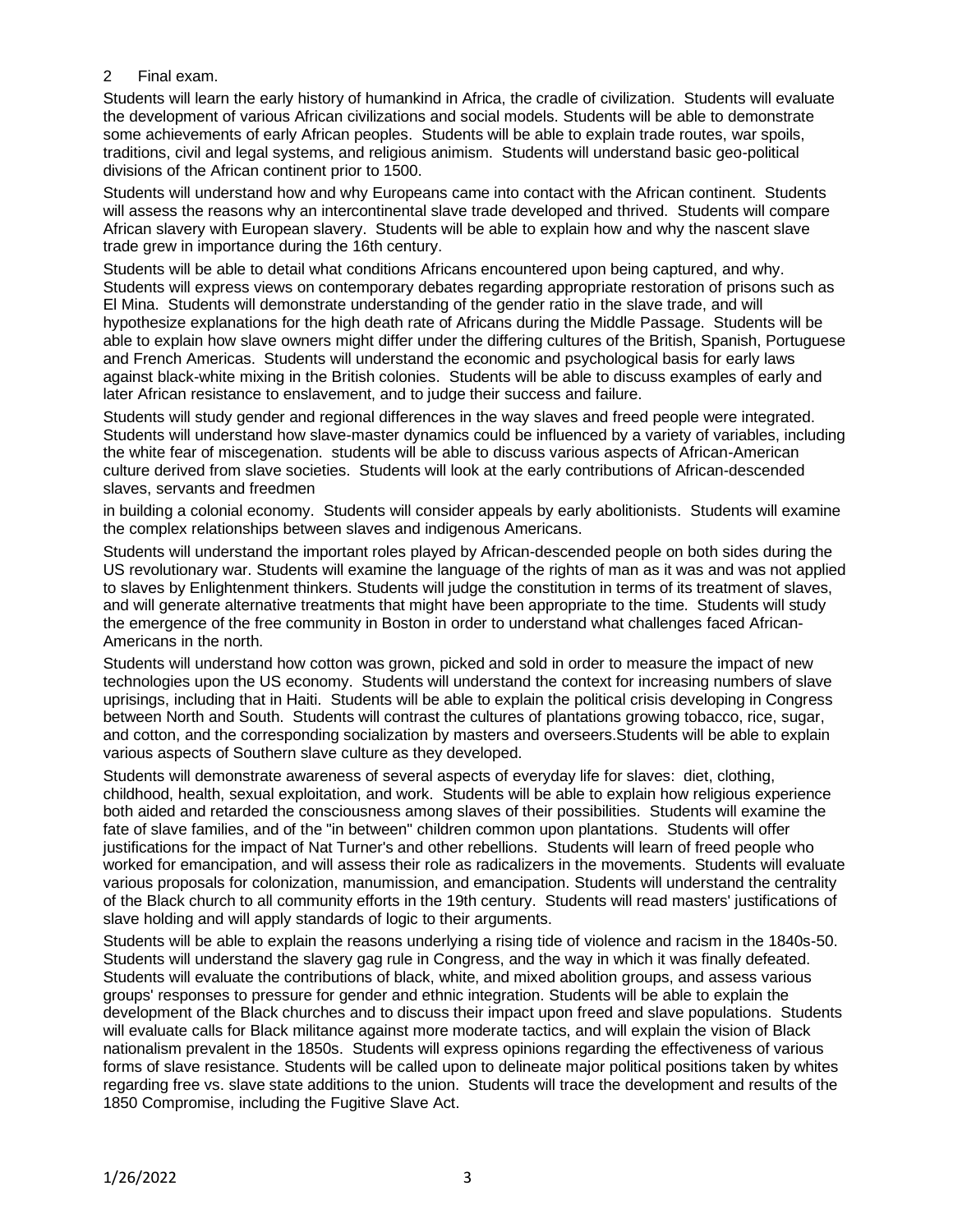## 2 Final exam.

Students will learn the early history of humankind in Africa, the cradle of civilization. Students will evaluate the development of various African civilizations and social models. Students will be able to demonstrate some achievements of early African peoples. Students will be able to explain trade routes, war spoils, traditions, civil and legal systems, and religious animism. Students will understand basic geo-political divisions of the African continent prior to 1500.

Students will understand how and why Europeans came into contact with the African continent. Students will assess the reasons why an intercontinental slave trade developed and thrived. Students will compare African slavery with European slavery. Students will be able to explain how and why the nascent slave trade grew in importance during the 16th century.

Students will be able to detail what conditions Africans encountered upon being captured, and why. Students will express views on contemporary debates regarding appropriate restoration of prisons such as El Mina. Students will demonstrate understanding of the gender ratio in the slave trade, and will hypothesize explanations for the high death rate of Africans during the Middle Passage. Students will be able to explain how slave owners might differ under the differing cultures of the British, Spanish, Portuguese and French Americas. Students will understand the economic and psychological basis for early laws against black-white mixing in the British colonies. Students will be able to discuss examples of early and later African resistance to enslavement, and to judge their success and failure.

Students will study gender and regional differences in the way slaves and freed people were integrated. Students will understand how slave-master dynamics could be influenced by a variety of variables, including the white fear of miscegenation. students will be able to discuss various aspects of African-American culture derived from slave societies. Students will look at the early contributions of African-descended slaves, servants and freedmen

in building a colonial economy. Students will consider appeals by early abolitionists. Students will examine the complex relationships between slaves and indigenous Americans.

Students will understand the important roles played by African-descended people on both sides during the US revolutionary war. Students will examine the language of the rights of man as it was and was not applied to slaves by Enlightenment thinkers. Students will judge the constitution in terms of its treatment of slaves, and will generate alternative treatments that might have been appropriate to the time. Students will study the emergence of the free community in Boston in order to understand what challenges faced African-Americans in the north.

Students will understand how cotton was grown, picked and sold in order to measure the impact of new technologies upon the US economy. Students will understand the context for increasing numbers of slave uprisings, including that in Haiti. Students will be able to explain the political crisis developing in Congress between North and South. Students will contrast the cultures of plantations growing tobacco, rice, sugar, and cotton, and the corresponding socialization by masters and overseers.Students will be able to explain various aspects of Southern slave culture as they developed.

Students will demonstrate awareness of several aspects of everyday life for slaves: diet, clothing, childhood, health, sexual exploitation, and work. Students will be able to explain how religious experience both aided and retarded the consciousness among slaves of their possibilities. Students will examine the fate of slave families, and of the "in between" children common upon plantations. Students will offer justifications for the impact of Nat Turner's and other rebellions. Students will learn of freed people who worked for emancipation, and will assess their role as radicalizers in the movements. Students will evaluate various proposals for colonization, manumission, and emancipation. Students will understand the centrality of the Black church to all community efforts in the 19th century. Students will read masters' justifications of slave holding and will apply standards of logic to their arguments.

Students will be able to explain the reasons underlying a rising tide of violence and racism in the 1840s-50. Students will understand the slavery gag rule in Congress, and the way in which it was finally defeated. Students will evaluate the contributions of black, white, and mixed abolition groups, and assess various groups' responses to pressure for gender and ethnic integration. Students will be able to explain the development of the Black churches and to discuss their impact upon freed and slave populations. Students will evaluate calls for Black militance against more moderate tactics, and will explain the vision of Black nationalism prevalent in the 1850s. Students will express opinions regarding the effectiveness of various forms of slave resistance. Students will be called upon to delineate major political positions taken by whites regarding free vs. slave state additions to the union. Students will trace the development and results of the 1850 Compromise, including the Fugitive Slave Act.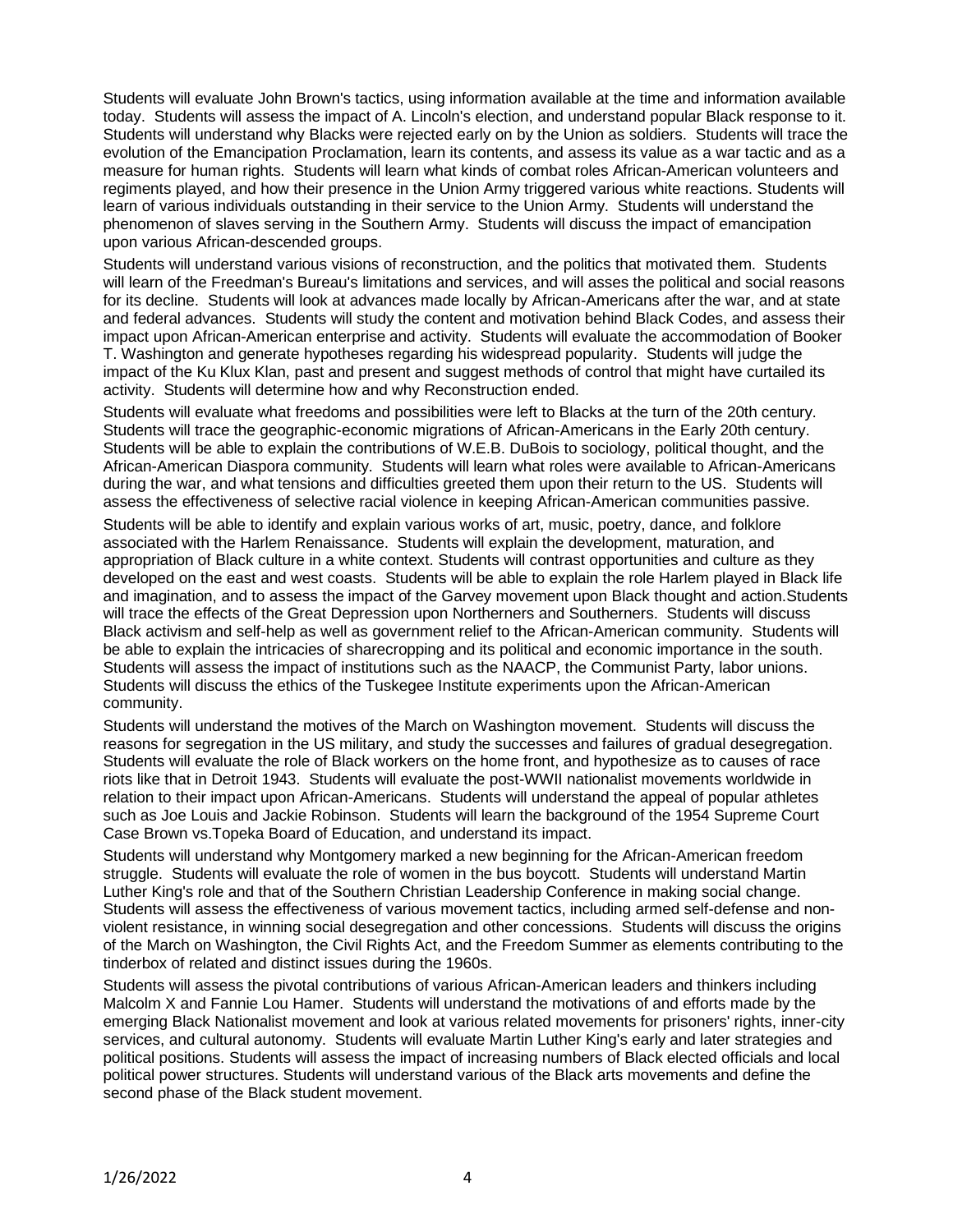Students will evaluate John Brown's tactics, using information available at the time and information available today. Students will assess the impact of A. Lincoln's election, and understand popular Black response to it. Students will understand why Blacks were rejected early on by the Union as soldiers. Students will trace the evolution of the Emancipation Proclamation, learn its contents, and assess its value as a war tactic and as a measure for human rights. Students will learn what kinds of combat roles African-American volunteers and regiments played, and how their presence in the Union Army triggered various white reactions. Students will learn of various individuals outstanding in their service to the Union Army. Students will understand the phenomenon of slaves serving in the Southern Army. Students will discuss the impact of emancipation upon various African-descended groups.

Students will understand various visions of reconstruction, and the politics that motivated them. Students will learn of the Freedman's Bureau's limitations and services, and will asses the political and social reasons for its decline. Students will look at advances made locally by African-Americans after the war, and at state and federal advances. Students will study the content and motivation behind Black Codes, and assess their impact upon African-American enterprise and activity. Students will evaluate the accommodation of Booker T. Washington and generate hypotheses regarding his widespread popularity. Students will judge the impact of the Ku Klux Klan, past and present and suggest methods of control that might have curtailed its activity. Students will determine how and why Reconstruction ended.

Students will evaluate what freedoms and possibilities were left to Blacks at the turn of the 20th century. Students will trace the geographic-economic migrations of African-Americans in the Early 20th century. Students will be able to explain the contributions of W.E.B. DuBois to sociology, political thought, and the African-American Diaspora community. Students will learn what roles were available to African-Americans during the war, and what tensions and difficulties greeted them upon their return to the US. Students will assess the effectiveness of selective racial violence in keeping African-American communities passive.

Students will be able to identify and explain various works of art, music, poetry, dance, and folklore associated with the Harlem Renaissance. Students will explain the development, maturation, and appropriation of Black culture in a white context. Students will contrast opportunities and culture as they developed on the east and west coasts. Students will be able to explain the role Harlem played in Black life and imagination, and to assess the impact of the Garvey movement upon Black thought and action.Students will trace the effects of the Great Depression upon Northerners and Southerners. Students will discuss Black activism and self-help as well as government relief to the African-American community. Students will be able to explain the intricacies of sharecropping and its political and economic importance in the south. Students will assess the impact of institutions such as the NAACP, the Communist Party, labor unions. Students will discuss the ethics of the Tuskegee Institute experiments upon the African-American community.

Students will understand the motives of the March on Washington movement. Students will discuss the reasons for segregation in the US military, and study the successes and failures of gradual desegregation. Students will evaluate the role of Black workers on the home front, and hypothesize as to causes of race riots like that in Detroit 1943. Students will evaluate the post-WWII nationalist movements worldwide in relation to their impact upon African-Americans. Students will understand the appeal of popular athletes such as Joe Louis and Jackie Robinson. Students will learn the background of the 1954 Supreme Court Case Brown vs.Topeka Board of Education, and understand its impact.

Students will understand why Montgomery marked a new beginning for the African-American freedom struggle. Students will evaluate the role of women in the bus boycott. Students will understand Martin Luther King's role and that of the Southern Christian Leadership Conference in making social change. Students will assess the effectiveness of various movement tactics, including armed self-defense and nonviolent resistance, in winning social desegregation and other concessions. Students will discuss the origins of the March on Washington, the Civil Rights Act, and the Freedom Summer as elements contributing to the tinderbox of related and distinct issues during the 1960s.

Students will assess the pivotal contributions of various African-American leaders and thinkers including Malcolm X and Fannie Lou Hamer. Students will understand the motivations of and efforts made by the emerging Black Nationalist movement and look at various related movements for prisoners' rights, inner-city services, and cultural autonomy. Students will evaluate Martin Luther King's early and later strategies and political positions. Students will assess the impact of increasing numbers of Black elected officials and local political power structures. Students will understand various of the Black arts movements and define the second phase of the Black student movement.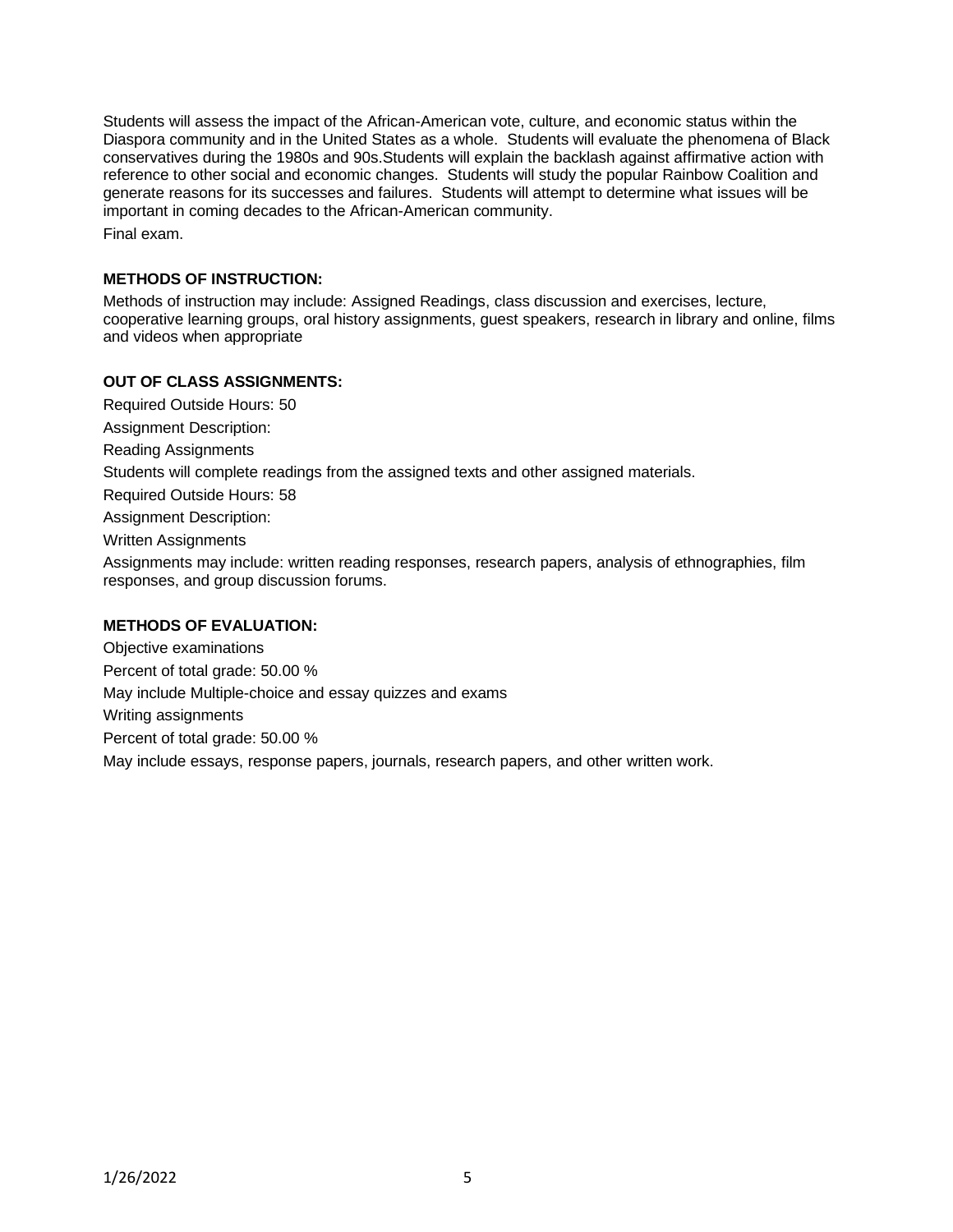Students will assess the impact of the African-American vote, culture, and economic status within the Diaspora community and in the United States as a whole. Students will evaluate the phenomena of Black conservatives during the 1980s and 90s.Students will explain the backlash against affirmative action with reference to other social and economic changes. Students will study the popular Rainbow Coalition and generate reasons for its successes and failures. Students will attempt to determine what issues will be important in coming decades to the African-American community. Final exam.

### **METHODS OF INSTRUCTION:**

Methods of instruction may include: Assigned Readings, class discussion and exercises, lecture, cooperative learning groups, oral history assignments, guest speakers, research in library and online, films and videos when appropriate

## **OUT OF CLASS ASSIGNMENTS:**

Required Outside Hours: 50 Assignment Description: Reading Assignments

Students will complete readings from the assigned texts and other assigned materials.

Required Outside Hours: 58

Assignment Description:

Written Assignments

Assignments may include: written reading responses, research papers, analysis of ethnographies, film responses, and group discussion forums.

## **METHODS OF EVALUATION:**

Objective examinations Percent of total grade: 50.00 % May include Multiple-choice and essay quizzes and exams Writing assignments Percent of total grade: 50.00 % May include essays, response papers, journals, research papers, and other written work.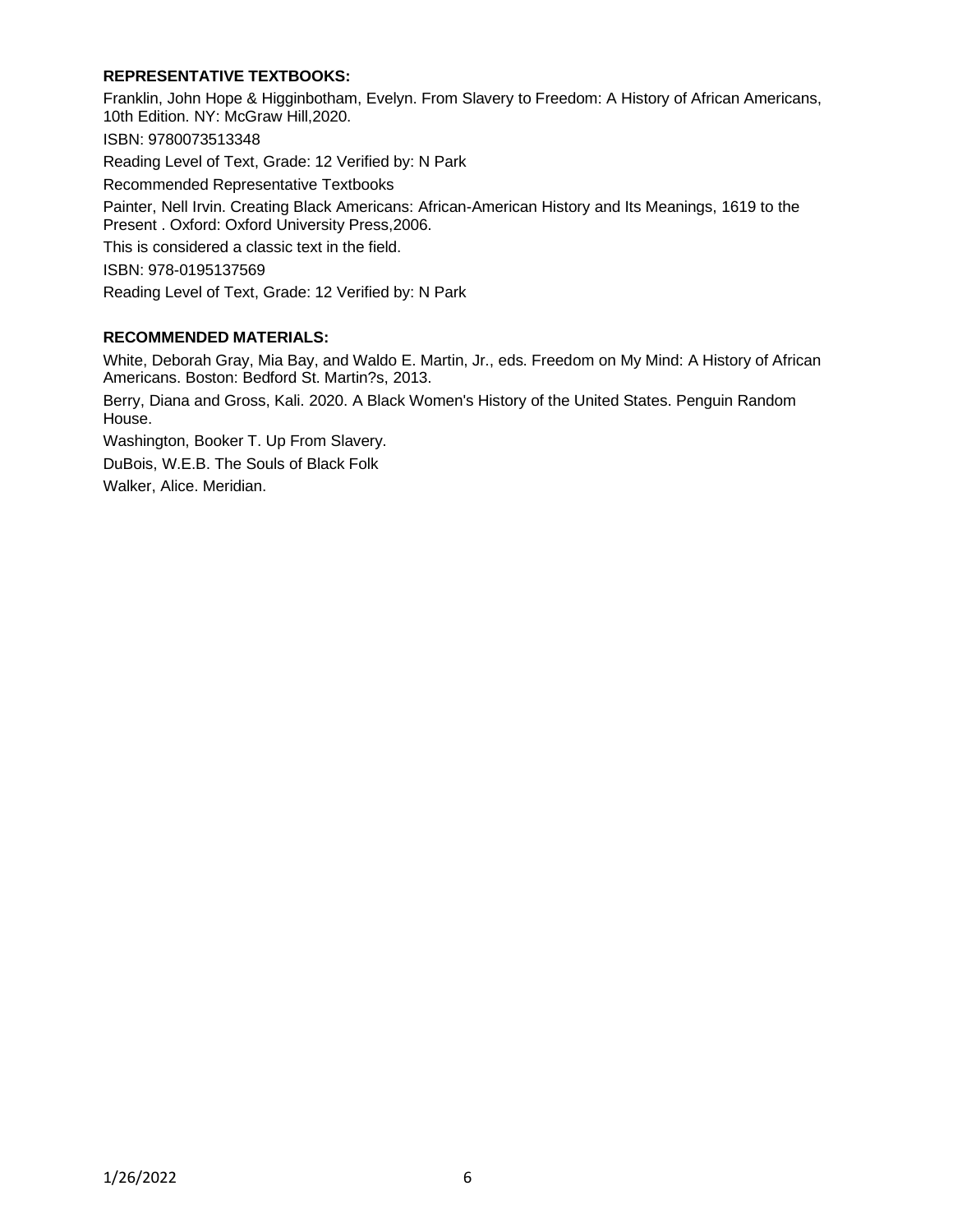# **REPRESENTATIVE TEXTBOOKS:**

Franklin, John Hope & Higginbotham, Evelyn. From Slavery to Freedom: A History of African Americans, 10th Edition. NY: McGraw Hill,2020. ISBN: 9780073513348 Reading Level of Text, Grade: 12 Verified by: N Park Recommended Representative Textbooks Painter, Nell Irvin. Creating Black Americans: African-American History and Its Meanings, 1619 to the Present . Oxford: Oxford University Press,2006. This is considered a classic text in the field. ISBN: 978-0195137569 Reading Level of Text, Grade: 12 Verified by: N Park

## **RECOMMENDED MATERIALS:**

White, Deborah Gray, Mia Bay, and Waldo E. Martin, Jr., eds. Freedom on My Mind: A History of African Americans. Boston: Bedford St. Martin?s, 2013.

Berry, Diana and Gross, Kali. 2020. A Black Women's History of the United States. Penguin Random House.

Washington, Booker T. Up From Slavery. DuBois, W.E.B. The Souls of Black Folk

Walker, Alice. Meridian.